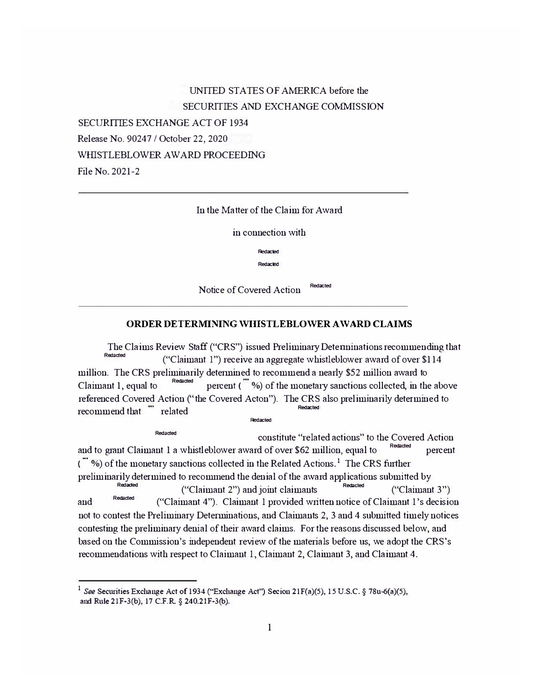UNITED STATES OF AMERICA before the SECURITIES AND EXCHANGE COMMISSION SECURITIES EXCHANGE ACT OF 1934 Release No. 90247 / October 22, 2020 WHISTLEBLOWER AWARD PROCEEDING File No. 2021-2

# In the Matter of the Claim for Award

in connection with

**-**

**Redacted** 

**Notice of Covered Action Redacted** 

### ORDER DETERMINING WHISTLEBLOWER AWARD CLAIMS

The Claims Review Staff ("CRS") issued Preliminary Determinations recommending that **Redacted** aded **(**"Claimant 1") receive an aggregate whistleblower award of over \$114 million. The CRS preliminarily determined to recommend a nearly \$52 million award to<br>Claimant 1, equal to  $\frac{Redated}{\text{Reduced}}$  percent ( $\frac{m}{\sqrt{2}}$ ) of the monetary sanctions collected, in the percent  $\left( \begin{array}{c} \mathbf{w} \\ \mathbf{w} \end{array} \right)$  of the monetary sanctions collected, in the above referenced Covered Action ("the Covered Acton"). The CRS also preliminarily determined to **PECOMMEDIAT EXAMPLE THE GEOMMENT CONTRACT SECTION TO A FINITE Redacted** 

Redacted

**Redacted** constitute "related actions" to the Covered Action and to grant Claimant 1 a whistleblower award of over \$62 million, equal to Redacted percent  $\langle$  "%) of the monetary sanctions collected in the Related Actions.<sup>1</sup> The CRS further preliminarily determined to recommend the denial of the award applications submitted by **Redacted acted Claimant 2"** and joint claimants **Redacted (**"Claimant 3"  $("Claimant 3")$ and Redacted ("Claimant 4"). Claimant 1 provided written notice of Claimant 1's decision not to contest the Preliminary Determinations, and Claimants 2, 3 and 4 submitted timely notices contesting the preliminary denial of their award claims. For the reasons discussed below, and based on the Commission's independent review of the materials before us, we adopt the CRS's recommendations with respect to Claimant 1, Claimant 2, Claimant 3, and Claimant 4.

<sup>&</sup>lt;sup>1</sup> See Securities Exchange Act of 1934 ("Exchange Act") Secion 21F(a)(5), 15 U.S.C. § 78u-6(a)(5), and Rule 21F-3(b), 17 C.F.R. § 240.21F-3(b).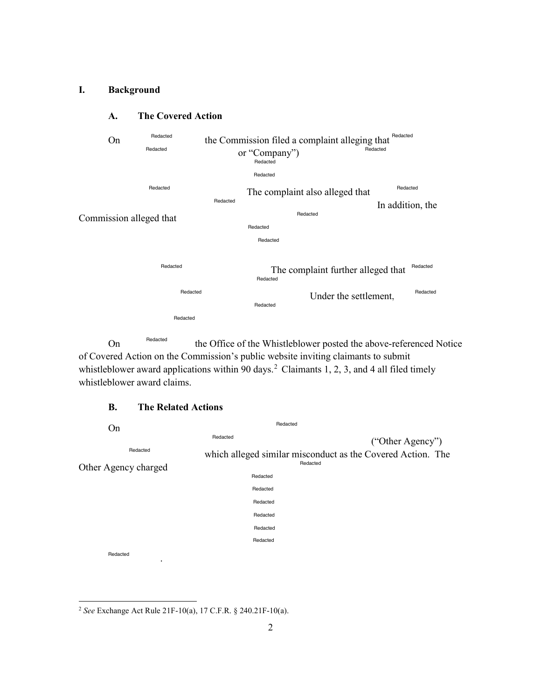## **I. Background**



# **A. The Covered Action**

On Redacted the Office of the Whistleblower posted the above-referenced Notice of Covered Action on the Commission's public website inviting claimants to submit whistleblower award applications within 90 days.<sup>2</sup> Claimants 1, 2, 3, and 4 all filed timely whistleblower award claims.

# **B. The Related Actions**

| On                    | Redacted |                                                             |
|-----------------------|----------|-------------------------------------------------------------|
|                       | Redacted | ("Other Agency")                                            |
| Redacted              |          | which alleged similar misconduct as the Covered Action. The |
| Other Agency charged  | Redacted |                                                             |
|                       | Redacted |                                                             |
|                       | Redacted |                                                             |
|                       | Redacted |                                                             |
|                       | Redacted |                                                             |
|                       | Redacted |                                                             |
|                       | Redacted |                                                             |
| Redacted<br>$\bullet$ |          |                                                             |

<sup>2</sup>*See* Exchange Act Rule 21F-10(a), 17 C.F.R. § 240.21F-10(a).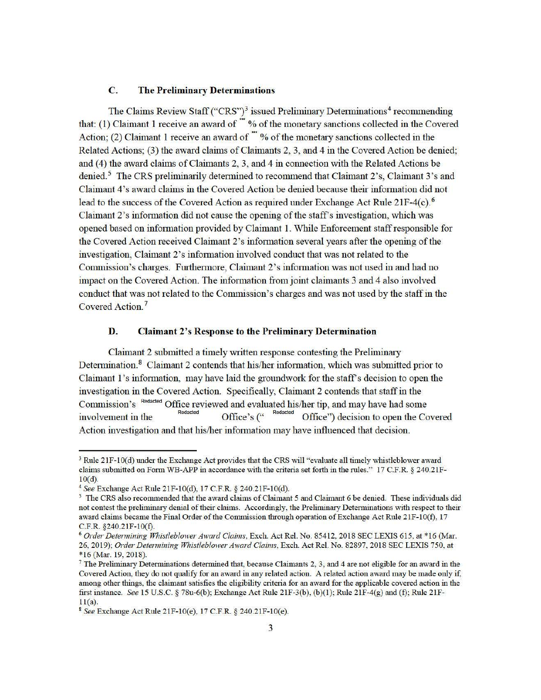## **C. The Preliminary Determinations**

The Claims Review Staff ("CRS")<sup>3</sup> issued Preliminary Determinations<sup>4</sup> recommending that: (1) Claimant 1 receive an award of  $\dddot{ }$  % of the monetary sanctions collected in the Covered Action; (2) Claimant 1 receive an award of  $\dddot{m}$  % of the monetary sanctions collected in the Related Actions; (3) the award claims of Claimants 2, 3, and 4 in the Covered Action be denied; and (4) the award claims of Claimants 2, 3, and 4 in connection with the Related Actions be denied.<sup>5</sup> The CRS preliminarily determined to recommend that Claimant 2's, Claimant 3's and Claimant 4's award claims in the Covered Action be denied because their information did not lead to the success of the Covered Action as required under Exchange Act Rule 21F-4(c). <sup>6</sup> Claimant 2's information did not cause the opening of the staff's investigation, which was opened based on infonnation provided by Claimant 1. While Enforcement staff responsible for the Covered Action received Claimant 2's information several years after the opening of the investigation, Claimant 2's information involved conduct that was not related to the Commission's charges. Furthermore, Claimant 2's information was not used in and had no impact on the Covered Action. The information from joint claimants 3 and 4 also involved conduct that was not related to the Commission's charges and was not used by the staff in the Covered Action. <sup>7</sup>

## **D. Claimant 2's Response to the Preliminary Determination**

Claimant 2 submitted a timely written response contesting the Preliminary Determination.<sup>8</sup> Claimant 2 contends that his/her information, which was submitted prior to Claimant 1's information, may have laid the groundwork for the staff's decision to open the investigation in the Covered Action. Specifically, Claimant 2 contends that staff in the Commission's Redacted Office reviewed and evaluated his/her tip, and may have had some involvement in the Redacted **Centre Covered** Centre of the Covered **for** *Redacted* Office <sup>"</sup> decision to open the Covered Action investigation and that his/her information may have influenced that decision.

<sup>&</sup>lt;sup>3</sup> Rule 21F-10(d) under the Exchange Act provides that the CRS will "evaluate all timely whistleblower award claims submitted on Fonn WB-APP in accordance with the criteria set forth in the mies." 17 C.F.R. § 240.21F-10(d).

<sup>4</sup> *See* Exchange Act Rule 21F-10(d), 17 C.F.R. § 240.21F-10(d).

<sup>&</sup>lt;sup>5</sup> The CRS also recommended that the award claims of Claimant 5 and Claimant 6 be denied. These individuals did not contest the preliminary denial of their claims. Accordingly, the Preliminary Determinations with respect to their award claims became the Final Order of the Commission through operation of Exchange Act Rule 21F-10(f), 17 C.F.R. §240.21F-10(f).

<sup>6</sup>*Order Determining Whistleblower Award Claims,* Exch. Act Rel. No. 85412, 2018 SEC LEXIS 615, at \*16 (Mar. 26, 2019); *Order Detennining Whistleblower Award Claims,* Exch. Act Rel. No. 82897, 2018 SEC LEXIS 750, at \*16 (Mar. 19, 2018).

<sup>&</sup>lt;sup>7</sup>The Preliminary Determinations determined that, because Claimants 2, 3, and 4 are not eligible for an award in the Covered Action, they do not qualify for an award in any related action. A related action award may be made only if, among other things, the claimant satisfies the eligibility criteria for an award for the applicable covered action in the first instance. *See* 15 U.S.C. § 78u-6(b); Exchange Act Rule 21F-3(b), (b)(l); Rule 21F-4(g) and (f); Rule 21F- $11(a)$ .

<sup>8</sup>*See* Exchange Act Rule 21F-10(e), 17 C.F.R. § 240.21F-10(e).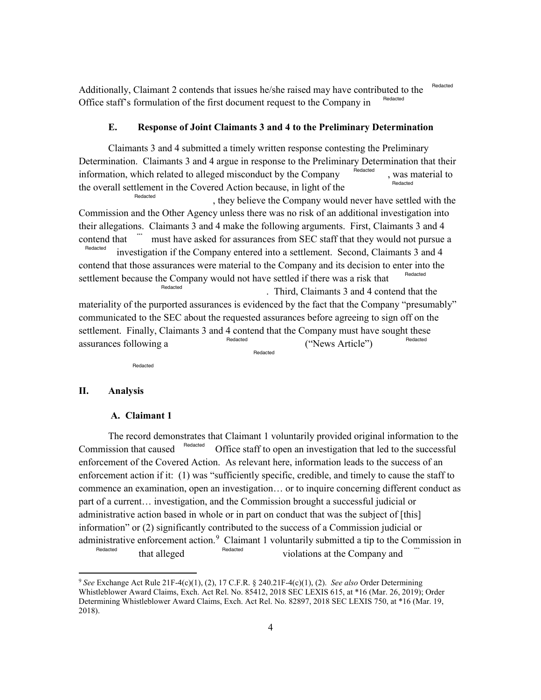Redacted Additionally, Claimant 2 contends that issues he/she raised may have contributed to the <sup>Redacted</sup> Office staff's formulation of the first document request to the Company in

### **E. Response of Joint Claimants 3 and 4 to the Preliminary Determination**

 Determination. Claimants 3 and 4 argue in response to the Preliminary Determination that their Claimants 3 and 4 submitted a timely written response contesting the Preliminary information, which related to alleged misconduct by the Company Redacted Redacted was material to the overall settlement in the Covered Action because, in light of the Redacted

Redacted investigation if the Company entered into a settlement. Second, Claimants 3 and 4 , they believe the Company would never have settled with the Commission and the Other Agency unless there was no risk of an additional investigation into their allegations. Claimants 3 and 4 make the following arguments. First, Claimants 3 and 4 contend that  $\frac{1}{\text{Redated}}$  must have asked for assurances from SEC staff that they would not pursue a contend that those assurances were material to the Company and its decision to enter into the settlement because the Company would not have settled if there was a risk that . Third, Claimants 3 and 4 contend that the Redacted materiality of the purported assurances is evidenced by the fact that the Company "presumably" communicated to the SEC about the requested assurances before agreeing to sign off on the

 settlement. Finally, Claimants 3 and 4 contend that the Company must have sought these assurances following a Redacted Redacted ("News Article") Redacted

Redacted

### **II. Analysis**

1

### **A. Claimant 1**

Commission that caused Redacted Office staff to open an investigation that led to the successful commence an examination, open an investigation… or to inquire concerning different conduct as part of a current… investigation, and the Commission brought a successful judicial or administrative enforcement action.<sup>9</sup> Claimant 1 voluntarily submitted a tip to the Commission in The record demonstrates that Claimant 1 voluntarily provided original information to the enforcement of the Covered Action. As relevant here, information leads to the success of an enforcement action if it: (1) was "sufficiently specific, credible, and timely to cause the staff to administrative action based in whole or in part on conduct that was the subject of [this] information" or (2) significantly contributed to the success of a Commission judicial or Redacted that alleged Redacted violations at the Company and

 <sup>9</sup>*See* Exchange Act Rule 21F-4(c)(1), (2), 17 C.F.R. § 240.21F-4(c)(1), (2). *See also* Order Determining Determining Whistleblower Award Claims, Exch. Act Rel. No. 82897, 2018 SEC LEXIS 750, at \*16 (Mar. 19, 2018). Whistleblower Award Claims, Exch. Act Rel. No. 85412, 2018 SEC LEXIS 615, at \*16 (Mar. 26, 2019); Order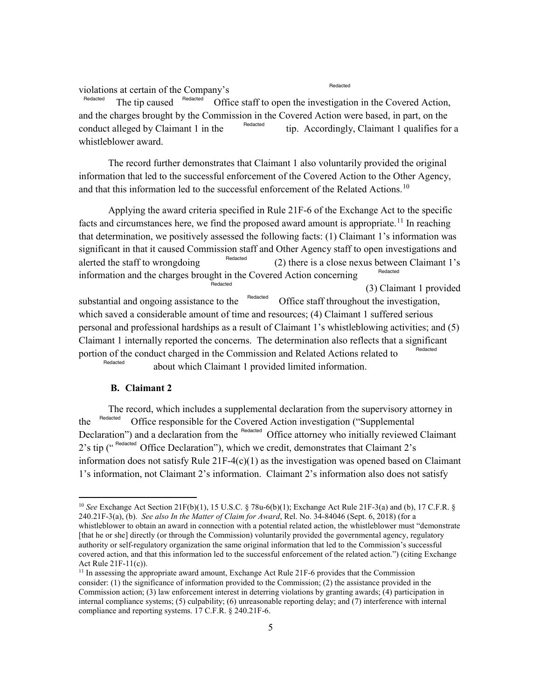violations at certain of the Company's

Redacted

The tip caused <sup>Redacted</sup> Office staff to open the investigation in the Covered Action, and the charges brought by the Commission in the Covered Action were based, in part, on the conduct alleged by Claimant 1 in the  $t^{\text{Heaateed}}$  tip. Accordingly, Claimant 1 qualifies for a whistleblower award. Redacted Redacted Redacted

The record further demonstrates that Claimant 1 also voluntarily provided the original information that led to the successful enforcement of the Covered Action to the Other Agency, and that this information led to the successful enforcement of the Related [Actions.](https://Actions.10)<sup>10</sup>

 that determination, we positively assessed the following facts: (1) Claimant 1's information was Applying the award criteria specified in Rule 21F-6 of the Exchange Act to the specific facts and circumstances here, we find the proposed award amount is [appropriate.](https://appropriate.11)<sup>11</sup> In reaching significant in that it caused Commission staff and Other Agency staff to open investigations and alerted the staff to wrongdoing  $\frac{Heq \cdot \text{d}s}{2}$  (2) there is a close nexus between Claimant 1's information and the charges brought in the Covered Action concerning (3) Claimant 1 provided substantial and ongoing assistance to the  $\theta$ <sup>Redacted</sup> Office staff throughout the investigation, Redacted Redacted Redacted which saved a considerable amount of time and resources; (4) Claimant 1 suffered serious personal and professional hardships as a result of Claimant 1's whistleblowing activities; and (5) Claimant 1 internally reported the concerns. The determination also reflects that a significant portion of the conduct charged in the Commission and Related Actions related to **Redacted** 

about which Claimant 1 provided limited information.

#### **B. Claimant 2**

 $\overline{a}$ 

The record, which includes a supplemental declaration from the supervisory attorney in the Redacted Office responsible for the Covered Action investigation ("Supplemental Declaration") and a declaration from the Redacted Office attorney who initially reviewed Claimant 2's tip (" Redacted Office Declaration"), which we credit, demonstrates that Claimant 2's information does not satisfy Rule 21F-4(c)(1) as the investigation was opened based on Claimant 1's information, not Claimant 2's information. Claimant 2's information also does not satisfy

 <sup>10</sup>*See* Exchange Act Section 21F(b)(1), 15 U.S.C. § 78u-6(b)(1); Exchange Act Rule 21F-3(a) and (b), 17 C.F.R. § 240.21F-3(a), (b). *See also In the Matter of Claim for Award*, Rel. No. 34-84046 (Sept. 6, 2018) (for a whistleblower to obtain an award in connection with a potential related action, the whistleblower must "demonstrate [that he or she] directly (or through the Commission) voluntarily provided the governmental agency, regulatory authority or self-regulatory organization the same original information that led to the Commission's successful covered action, and that this information led to the successful enforcement of the related action.") (citing Exchange Act Rule 21F-11(c)).

<sup>&</sup>lt;sup>11</sup> In assessing the appropriate award amount, Exchange Act Rule 21F-6 provides that the Commission consider: (1) the significance of information provided to the Commission; (2) the assistance provided in the Commission action; (3) law enforcement interest in deterring violations by granting awards; (4) participation in internal compliance systems; (5) culpability; (6) unreasonable reporting delay; and (7) interference with internal compliance and reporting systems. 17 C.F.R. § 240.21F-6.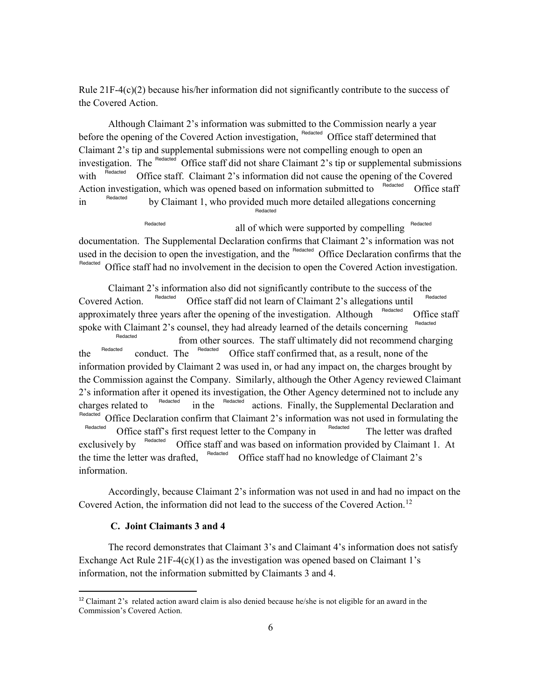Rule  $21F-4(c)(2)$  because his/her information did not significantly contribute to the success of the Covered Action.

Although Claimant 2's information was submitted to the Commission nearly a year Although Claimant 2's information was submitted to the Commission nearly a year before the opening of the Covered Action investigation, Redacted Office staff determined that with  $\frac{1}{2}$   $\frac{1}{2}$  Office staff. Claimant 2's information did not cause the opening of the Covered Claimant 2's tip and supplemental submissions were not compelling enough to open an investigation. The <sup>Redacted</sup> Office staff did not share Claimant 2's tip or supplemental submissions Action investigation, which was opened based on information submitted to <sup>Redacted</sup> Office staff  $\mu$ <sup>Hedacted</sup> by Claimant 1, who provided much more detailed allegations concerning Redacted Redacted Redacted

Redacted **Redacted** all of which were supported by compelling Redacted documentation. The Supplemental Declaration confirms that Claimant 2's information was not used in the decision to open the investigation, and the Redacted Office Declaration confirms that the Redacted Office staff had no involvement in the decision to open the Covered Action investigation.

charges related to <sup>Redacted</sup> in the <sup>Redacted</sup> actions. Finally, the Supplemental Declaration and The letter was drafted Claimant 2's information also did not significantly contribute to the success of the Covered Action. <sup>Redacted</sup> Office staff did not learn of Claimant 2's allegations until Redacted Redacted approximately three years after the opening of the investigation. Although Redacted Redacted Redacted Office staff spoke with Claimant 2's counsel, they had already learned of the details concerning from other sources. The staff ultimately did not recommend charging the <sup>Hedacted</sup> conduct. The <sup>Hedacted</sup> Office staff confirmed that, as a result, none of the information provided by Claimant 2 was used in, or had any impact on, the charges brought by the Commission against the Company. Similarly, although the Other Agency reviewed Claimant 2's information after it opened its investigation, the Other Agency determined not to include any  $\frac{C_{\text{Reduced}}}{\text{Redacted}}$  Office Declaration confirm that Claimant 2's information was not used in formulating the  $\frac{C_{\text{Redacted}}}{\text{Redacted}}$  $R<sub>edacted</sub>$  Office staff's first request letter to the Company in exclusively by Redacted the time the letter was drafted,  $\frac{\text{Redacted}}{\text{Office}}$  Office staff had no knowledge of Claimant 2's Office staff and was based on information provided by Claimant 1. At information.

Accordingly, because Claimant 2's information was not used in and had no impact on the Covered Action, the information did not lead to the success of the Covered [Action.](https://Action.12)<sup>12</sup>

## **C. Joint Claimants 3 and 4**

 $\overline{a}$ 

The record demonstrates that Claimant 3's and Claimant 4's information does not satisfy Exchange Act Rule  $21F-4(c)(1)$  as the investigation was opened based on Claimant 1's information, not the information submitted by Claimants 3 and 4.

 Commission's Covered Action. <sup>12</sup> Claimant 2's related action award claim is also denied because he/she is not eligible for an award in the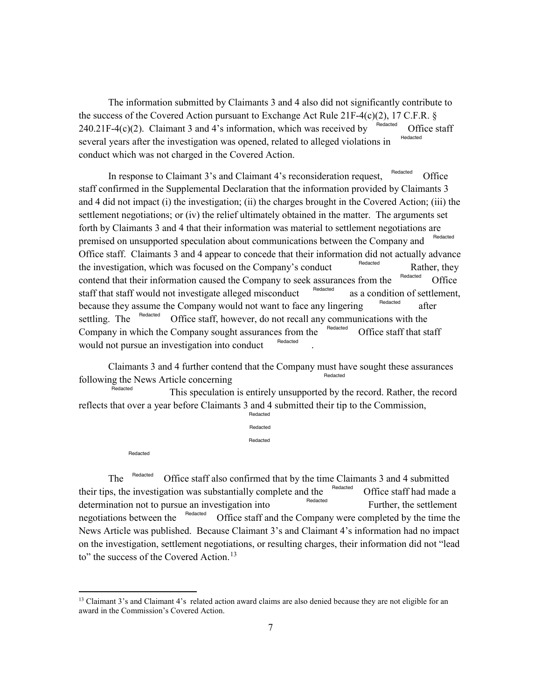$240.21F-4(c)(2)$ . Claimant 3 and 4's information, which was received by several years after the investigation was opened, related to alleged violations in The information submitted by Claimants 3 and 4 also did not significantly contribute to the success of the Covered Action pursuant to Exchange Act Rule 21F-4(c)(2), 17 C.F.R.  $\S$  Office staff Redacted Redacted conduct which was not charged in the Covered Action.

 settlement negotiations; or (iv) the relief ultimately obtained in the matter. The arguments set Office staff. Claimants 3 and 4 appear to concede that their information did not actually advance the investigation, which was focused on the Company's conduct Rather, they because they assume the Company would not want to face any lingering <sup>Hedacted</sup> after settling. The <sup>Redacted</sup> Office staff, however, do not recall any communications with the In response to Claimant 3's and Claimant 4's reconsideration request, Redacted Office staff confirmed in the Supplemental Declaration that the information provided by Claimants 3 and 4 did not impact (i) the investigation; (ii) the charges brought in the Covered Action; (iii) the forth by Claimants 3 and 4 that their information was material to settlement negotiations are premised on unsupported speculation about communications between the Company and Redacted Redacted Redacted settling. The Redacted Redacted Rather, they contend that their information caused the Company to seek assurances from the <sup>Redacted</sup> Office staff that staff would not investigate alleged misconduct as a condition of settlement, Company in which the Company sought assurances from the  $\frac{\text{Redacted}}{\text{Confice}}$  Office staff that staff would not pursue an investigation into conduct .

Claimants 3 and 4 further contend that the Company must have sought these assurances following the News Article concerning Redacted

 This speculation is entirely unsupported by the record. Rather, the record reflects that over a year before Claimants 3 and 4 submitted their tip to the Commission, Redacted **Redacted** 

|          | Redacted |
|----------|----------|
|          | Redacted |
| Redacted |          |

Further, the settlement The <sup>Redacted</sup> Office staff also confirmed that by the time Claimants 3 and 4 submitted their tips, the investigation was substantially complete and the Redacted Redacted negotiations between the Redacted Office staff had made a determination not to pursue an investigation into Office staff and the Company were completed by the time the News Article was published. Because Claimant 3's and Claimant 4's information had no impact on the investigation, settlement negotiations, or resulting charges, their information did not "lead to" the success of the Covered [Action.](https://Action.13)<sup>13</sup>

<sup>&</sup>lt;sup>13</sup> Claimant 3's and Claimant 4's related action award claims are also denied because they are not eligible for an award in the Commission's Covered Action.